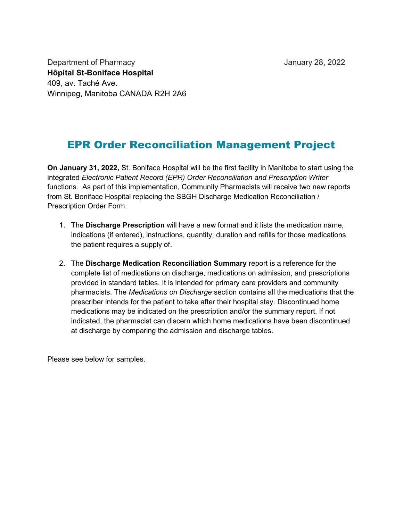Department of Pharmacy Department of Pharmacy Hôpital St-Boniface Hospital 409, av. Taché Ave. Winnipeg, Manitoba CANADA R2H 2A6

## EPR Order Reconciliation Management Project

On January 31, 2022, St. Boniface Hospital will be the first facility in Manitoba to start using the integrated Electronic Patient Record (EPR) Order Reconciliation and Prescription Writer functions. As part of this implementation, Community Pharmacists will receive two new reports from St. Boniface Hospital replacing the SBGH Discharge Medication Reconciliation / Prescription Order Form.

- 1. The Discharge Prescription will have a new format and it lists the medication name, indications (if entered), instructions, quantity, duration and refills for those medications the patient requires a supply of.
- 2. The Discharge Medication Reconciliation Summary report is a reference for the complete list of medications on discharge, medications on admission, and prescriptions provided in standard tables. It is intended for primary care providers and community pharmacists. The Medications on Discharge section contains all the medications that the prescriber intends for the patient to take after their hospital stay. Discontinued home medications may be indicated on the prescription and/or the summary report. If not indicated, the pharmacist can discern which home medications have been discontinued at discharge by comparing the admission and discharge tables.

Please see below for samples.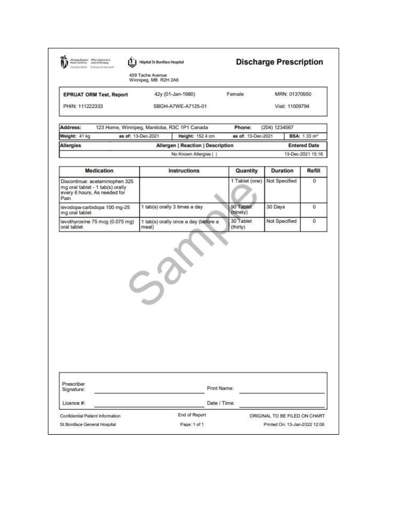| Monápay Rogiseui - Office régional de la<br>Health Authority - sankl de Womigreg<br>Diving Ex Health A Telesconde name same | Hópital St-Boniface Hospital                  |                       | <b>Discharge Prescription</b> |                                |
|-----------------------------------------------------------------------------------------------------------------------------|-----------------------------------------------|-----------------------|-------------------------------|--------------------------------|
|                                                                                                                             | 409 Tache Avenue<br>Winnipeg, MB R2H 2A6      |                       |                               |                                |
| <b>EPRUAT ORM Test, Report</b>                                                                                              | 42y (01-Jan-1980)                             | Female                | MRN: 01370950                 |                                |
| PHIN: 111222333                                                                                                             | SBGH-A7WE-A7125-01                            |                       | Visit: 11009794               |                                |
| Address:                                                                                                                    | 123 Home, Winnipeg, Manitoba, R3C 1P1 Canada  | Phone:                | (204) 1234567                 |                                |
| Weight: 41 kg                                                                                                               | as of: 13-Dec-2021<br>Height: 152.4 cm        | as of: 13-Dec-2021    |                               | <b>BSA: 1.33 m<sup>2</sup></b> |
| <b>Allergies</b>                                                                                                            | <b>Allergen   Reaction   Description</b>      |                       |                               | <b>Entered Date</b>            |
|                                                                                                                             | No Known Allergies                            |                       |                               | 13-Dec-2021 15:16              |
| <b>Medication</b>                                                                                                           | <b>Instructions</b>                           | Quantity              | Duration                      | Refill                         |
| Discontinue: acetaminophen 325<br>mg oral tablet - 1 tab(s) orally<br>every 6 hours, As needed for<br>Pain                  |                                               | 1 Tablet (one)        | Not Specified                 | 0                              |
|                                                                                                                             |                                               |                       |                               |                                |
| levodopa-carbidopa 100 mg-25<br>mg oral tablet                                                                              | 1 tab(s) orally 3 times a day                 | 90 Tablet<br>(ninety) | 30 Days                       | 0                              |
| levothyroxine 75 mcg (0.075 mg)<br>oral tablet                                                                              | 1 tab(s) orally once a day (before a<br>meal) | 30 Tablet<br>(thirty) | Not Specified                 | 0                              |
|                                                                                                                             | $S^2$                                         |                       |                               |                                |
| Prescriber<br>Signature:                                                                                                    | Print Name:                                   |                       |                               |                                |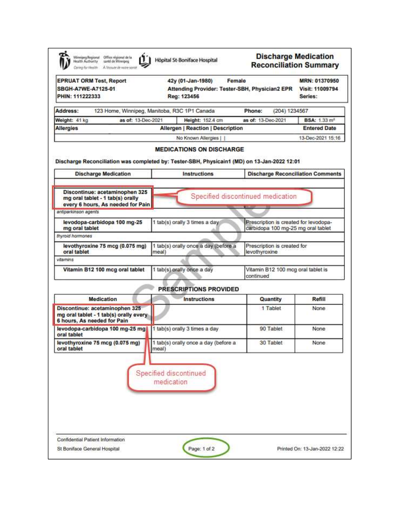| <b>EPRUAT ORM Test, Report</b><br>SBGH-A7WE-A7125-01<br>PHIN: 111222333                                 | Female<br>42y (01-Jan-1980)<br>Attending Provider: Tester-SBH, Physician2 EPR<br>Reg: 123456 |                                                                             | MRN: 01370950<br>Visit: 11009794<br>Series: |
|---------------------------------------------------------------------------------------------------------|----------------------------------------------------------------------------------------------|-----------------------------------------------------------------------------|---------------------------------------------|
| Address:                                                                                                | 123 Home, Winnipeg, Manitoba, R3C 1P1 Canada                                                 | Phone:<br>(204) 1234567                                                     |                                             |
| Weight: 41 kg<br>as of: 13-Dec-2021                                                                     | Height: 152.4 cm                                                                             | as of: 13-Dec-2021                                                          | <b>BSA: 1.33 m<sup>2</sup></b>              |
| <b>Allergies</b>                                                                                        | <b>Allergen   Reaction   Description</b>                                                     |                                                                             | <b>Entered Date</b>                         |
|                                                                                                         | No Known Allergies                                                                           |                                                                             | 13-Dec-2021 15:16                           |
| Discharge Reconciliation was completed by: Tester-SBH, Physicain1 (MD) on 13-Jan-2022 12:01             | <b>MEDICATIONS ON DISCHARGE</b>                                                              |                                                                             |                                             |
| <b>Discharge Medication</b>                                                                             | <b>Instructions</b>                                                                          | <b>Discharge Reconciliation Comments</b>                                    |                                             |
| Discontinue: acetaminophen 325<br>mg oral tablet - 1 tab(s) orally<br>every 6 hours. As needed for Pain |                                                                                              | Specified discontinued medication                                           |                                             |
| antiparkinson agents                                                                                    |                                                                                              |                                                                             |                                             |
| levodopa-carbidopa 100 mg-25<br>mg oral tablet                                                          | 1 tab(s) orally 3 times a day                                                                | Prescription is created for levodopa-<br>carbidopa 100 mg-25 mg oral tablet |                                             |
| thyroid hormones                                                                                        |                                                                                              |                                                                             |                                             |
| levothyroxine 75 mcg (0.075 mg)<br>oral tablet                                                          | 1 tab(s) orally once a day (before a<br>meal)                                                | Prescription is created for<br>levothyroxine                                |                                             |
| vitamins                                                                                                |                                                                                              |                                                                             |                                             |
| Vitamin B12 100 mcg oral tablet                                                                         | 1 tab(s) orally once a day                                                                   | Vitamin B12 100 mcg oral tablet is<br>continued                             |                                             |
|                                                                                                         | PRESCRIPTIONS PROVIDED                                                                       |                                                                             |                                             |
| <b>Medication</b>                                                                                       | <b>Instructions</b>                                                                          | Quantity                                                                    | Refill                                      |
| Discontinue: acetaminophen 325<br>mg oral tablet - 1 tab(s) orally every<br>6 hours, As needed for Pain |                                                                                              | 1 Tablet                                                                    | None                                        |
| levodopa-carbidopa 100 mg-25 mg<br>oral tablet                                                          | 1 tab(s) orally 3 times a day                                                                | 90 Tablet                                                                   | None                                        |
| levothyroxine 75 mcg (0.075 mg)   1 tab(s) orally once a day (before a<br>oral tablet                   | meal)                                                                                        | 30 Tablet                                                                   | None                                        |
|                                                                                                         | Specified discontinued<br>medication                                                         |                                                                             |                                             |
|                                                                                                         |                                                                                              |                                                                             |                                             |